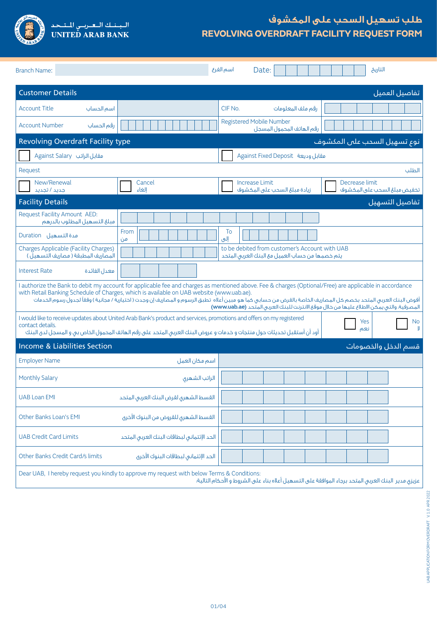

## **طلب تسهيل السحب على المكشوف REVOLVING OVERDRAFT FACILITY REQUEST FORM**

| <b>Branch Name:</b>                                                                                                                                                                                                                                                                                                                                                                                                                                                                                                  |                                            | اسم الفرع<br>التاريخ<br>Date:                                                                           |  |  |  |
|----------------------------------------------------------------------------------------------------------------------------------------------------------------------------------------------------------------------------------------------------------------------------------------------------------------------------------------------------------------------------------------------------------------------------------------------------------------------------------------------------------------------|--------------------------------------------|---------------------------------------------------------------------------------------------------------|--|--|--|
| <b>Customer Details</b>                                                                                                                                                                                                                                                                                                                                                                                                                                                                                              |                                            | تفاصيل العميل                                                                                           |  |  |  |
| <b>Account Title</b><br>اسم الحساب                                                                                                                                                                                                                                                                                                                                                                                                                                                                                   |                                            | CIF No.<br>رقم ملف المعلومات                                                                            |  |  |  |
| <b>Account Number</b><br>رقم الحساب                                                                                                                                                                                                                                                                                                                                                                                                                                                                                  |                                            | <b>Registered Mobile Number</b><br>رقم الهاتف المحمول المسجل                                            |  |  |  |
| <b>Revolving Overdraft Facility type</b>                                                                                                                                                                                                                                                                                                                                                                                                                                                                             | نوع تسهيل السحب على المكشوف                |                                                                                                         |  |  |  |
| Against Salary مقابل الراتب                                                                                                                                                                                                                                                                                                                                                                                                                                                                                          |                                            | Against Fixed Deposit مقابل وديعة                                                                       |  |  |  |
| Request                                                                                                                                                                                                                                                                                                                                                                                                                                                                                                              |                                            | الطلب                                                                                                   |  |  |  |
| New/Renewal<br>جدید / تجدید                                                                                                                                                                                                                                                                                                                                                                                                                                                                                          | Cancel<br>الغاء                            | <b>Increase Limit</b><br>Decrease limit<br>زيادة مبلغ السحب على المكشوف<br>تخفيض مبلغ السحب على المكشوف |  |  |  |
| <b>Facility Details</b>                                                                                                                                                                                                                                                                                                                                                                                                                                                                                              |                                            | تفاصيل التسهيل                                                                                          |  |  |  |
| Request Facility Amount AED:<br>فبلغ التسهيل المطلوب بالدرهم                                                                                                                                                                                                                                                                                                                                                                                                                                                         |                                            |                                                                                                         |  |  |  |
| مدة التسهيل Duration                                                                                                                                                                                                                                                                                                                                                                                                                                                                                                 | From<br>من                                 | To<br>إلى                                                                                               |  |  |  |
| <b>Charges Applicable (Facility Charges)</b><br>المصاريف المطبقة ( مصاريف التسهيل )                                                                                                                                                                                                                                                                                                                                                                                                                                  |                                            | to be debited from customer's Account with UAB<br>يتم خصمها من حساب العميل مع البنك العربى المتحد       |  |  |  |
| معدل الفائدة<br><b>Interest Rate</b>                                                                                                                                                                                                                                                                                                                                                                                                                                                                                 |                                            |                                                                                                         |  |  |  |
| I authorize the Bank to debit my account for applicable fee and charges as mentioned above. Fee & charges (Optional/Free) are applicable in accordance<br>with Retail Banking Schedule of Charges, which is available on UAB website (www.uab.ae).<br>أفوض البنك العربى المتحد بخصم كل المصاريف الخاصة بالقرض من حسابى كما هو مبين أعلاه  تطبق الرسوم و المصاريف إن وجدت ( اختيارية / مجانية ) وفقآ لجدول رسوم الخدمات<br>المصرفية، والتي يمكن الاطلاع عليها من خلال موقع الانترنت للبنك العربي المتّحد (www.uab.ae) |                                            |                                                                                                         |  |  |  |
| I would like to receive updates about United Arab Bank's product and services, promotions and offers on my registered<br>Yes<br>No.<br>contact details.<br>نعم<br>أود أن أستقبل تحديثات حول منتجات و خدمات و عروض البنك العربى المتحد على رقم الهاتف المحمول الخاص بى و المسجل لدى البنك                                                                                                                                                                                                                             |                                            |                                                                                                         |  |  |  |
| <b>Income &amp; Liabilities Section</b><br>قسم الدخل والخصومات                                                                                                                                                                                                                                                                                                                                                                                                                                                       |                                            |                                                                                                         |  |  |  |
| <b>Employer Name</b>                                                                                                                                                                                                                                                                                                                                                                                                                                                                                                 | اسم مكان العمل                             |                                                                                                         |  |  |  |
| <b>Monthly Salary</b>                                                                                                                                                                                                                                                                                                                                                                                                                                                                                                | الراتب الشهرى                              |                                                                                                         |  |  |  |
| <b>UAB Loan EMI</b>                                                                                                                                                                                                                                                                                                                                                                                                                                                                                                  | القسط الشهرى لقرض البنك العربى المتحد      |                                                                                                         |  |  |  |
| <b>Other Banks Loan's EMI</b>                                                                                                                                                                                                                                                                                                                                                                                                                                                                                        | القسط الشهرى للقروض من البنوك الأخرى       |                                                                                                         |  |  |  |
| <b>UAB Credit Card Limits</b>                                                                                                                                                                                                                                                                                                                                                                                                                                                                                        | الحد الإئتمانى لبطاقات البنك العربى المتحد |                                                                                                         |  |  |  |
| Other Banks Credit Card/s limits                                                                                                                                                                                                                                                                                                                                                                                                                                                                                     | الحد الإئتمانى لبطاقات البنوك الأخرى       |                                                                                                         |  |  |  |
| Dear UAB, I hereby request you kindly to approve my request with below Terms & Conditions:<br>عزيزق مدير البنك العربى المتحد برجاء الموافقة على التسهيل أعلاه بناء على الشروط و الأحكام التالية؛                                                                                                                                                                                                                                                                                                                     |                                            |                                                                                                         |  |  |  |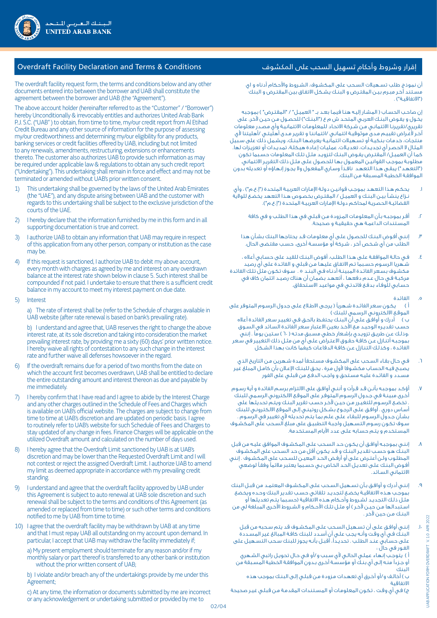أن نموذج طلب تسـهيالت السـحب على المكشـوف، الشـروط واألحكام أدناه و اي مسـتند آخـر مبـرم بيـن المقتـرض و البنـك يشـكل االتفـاق بين المقتـرض و البنك )"االتفاقيـة"( .

إن صاحب الحساب ( المشار إليـه هنـا فيمـا بعـد بــ " العميـل" / "المقتـرض" ) بموجبه يخـول و يفـوض البنـك العربـي المتحـد ش م ع )"البنـك"( للحصـول مـن حيـن آلخر، على تقريري/تقريرنـا االئتمانـي مـن شـركة االتحـاد للمعلومـات االئتمانيـة وأي مصـدر معلومات آخـر لأغـراض تقييـم مـدى موثوقيـة ائتمانـى /ائتماننـا و تقرير مـدى أهليتـى /أهليتنا لأى منتجـات، خدمـات بنكيـة أو تسـهيالت ائتمانيـة يعرضهـا البنـك، ويشـمل ذلك على سـبيل المثـال لا الحصـر أي تجديـدات، تعديـلات، عمليـات إعـادة هيـكلـة، تمديـدات أو تعزيـزات لها. كمـا أن العميـل/ المقتـرض يفـوض البنـك لتزويـد مثـل تلـك المعلومات حسـبما تكون مطلوبـة بموجـب القوانيـن المعمـول بهـا للحصـول علـى مثـل ذلك التقريـر االئتماني. )"التعهـد"( يبقـى هـذا التعهـد نافـذًا وسـاري المفعـول وال يجـوز إنهـاؤه أو تعديله بدون الموافقـة الخطيـة المسـبقة مـن البنك.

- ا. يحكم هذا التعهد بموجب قوانيـن دولـة الإمارات العربيـة المتحدة ("إ.ع.م") ، وأي نـزاع ينشـأ بيـن البنـك و العميـل / المقتـرض بخصـوص هـذا التعهد يخضـع للوالية القضائيـة الحصريـة لمحاكـم دولـة الإمـارات العربيـة المتحدة ("إ.ع.م").
	- . أقـر بموجبـه بـأن المعلومـات المـزودة مـن قبلـي في هذا الطلـب و في كافة المسـتندات الداعمـة هـي حقيقيـة و صحيحة.
	- . إننـي أفـوض البنـك للحصـول علـى أي معلومـات قـد يحتاجها البنك بشـأن هذا الطلب من أي شـخص آخر ، شـركة أو مؤسسـة أخرى، حسـب مقتضى الحال.
- . فـي حالـة الموافقـة علـى هـذا الطلـب، أفوض البنـك للقيد على حسـابي أعاله ، شـهريا الرسـوم حسـبما تـم االتفـاق عليهـا مـن قبلي و الفائـدة على أي رصيد مكشـوف بسـعر الفائـدة المبينـة أدنـاه فـي البنـد 5 . سـوف تكـون مثل تلـك الفائدة مركبـة فـي حـال عـدم دفعهـا ، أتعهـد بضمـان أن هناك رصيـد ائتمان كاف في حسـابي للوفـاء بدفـع فائدتـي في مواعيد االسـتحقاق.
	- . الفائدة
- أ ) يكون سعر الفائدة شـهرياً ( يرجـى الاطـلاع علـى جدول الرسـوم المتوفر على الموقـع االلكترونـي الرسـمي للبنك (

ب ) أدرك و أوافـق علـى أنّ البنـك يحتفـظ بالحـق فـى تغييـر سـعر الفائدة أعلاه حسـب تقديـره الوحيـد مـع األخـذ بعين االعتبار سـعر الفائدة السـائد في السـوق ،وذلـك عـن طريـق تزويـدي بإشـعار خطـي مسـبق مدتـه ( ٦٠ ) سـتين يومًا . إنني بموجبـه أتنـازل عـن كافـة حقـوق االعتـراض علـى أي من مثـل ذلك التغيير في سـعر الفائـدة ، وكذلـك التنـازل عـن كافـة الدفاعـات كيفما كانت بهذا الشـكل

- . فـي حـال بقـاء السـحب على المكشـوف مسـتحقًا لمدة شـهرين مـن التاريخ الذي يصبـح فيـه الحسـاب مكشـوفا ألول مـرة ، يحـق للبنـك اإلعـان بأن كامـل المبلغ غير مسـدد و الفائـدة عليـه مسـتحق و واجـب الدفـع من قبلـي على الفور
- . أؤكـد بموجبـه بأنـن قـد قـرأت و أننـي أوافـق على االلتزام برسـم الفائدة و أية رسـوم أخـرى مبينـة فـي جـدول الرسـوم المتوفـر على الموقـع االلكتروني الرسـمي للبنك . تخضـع الرسـوم للتغيـرر مـن حيـن آلخـر حسـب تقرير البنـك ويتـم تحديثها على أسـاس دوري . أوافـق علـى الرجـوع بشـكل روتينـي إلـى الموقع االلكترونـي للبنك بشـأن جـدول الرسـوم للبقـاء علـى علـم بمـا يتـم تحديثه ألي تغيير في الرسـوم . سـوف تكـون رسـوم التسـهيل واجبـة التطبيـق على مبلغ السـحب على المكشـوف المسـتخدم و يتـم حسـابه علـى عدد األيام المسـتخدمة.
- . إننـي بموجبـه أوافـق أن يكـون حـد السـحب علـى المكشـوف الموافق عليـه من قبل البنـك هـو حسـب تقديـر البنـك و قـد يكـون أقل من حد السـحب على المكشـوف المطلـوب ولـن أعتـرض علـى أو أرفـض الحـد المعيـن للسـحب على المكشـوف . إنني أفـوض البنـك علـى تعديـل الحـد الخـاص بـي حسـبما يعتبر مالئمًا وفقـً لوضعي االئتماني السـائد.
- . إننـي أدرك و أوافـق بـأن تسـهيل السـحب علـى المكشـوف المعتمـد من قبـل البنك بموجـب هـذه االتفاقيـة يخضـع لتجديـد تلقائـي حسـب تقدير البنك وحـده ويخضع مثـل ذلـك التجديـد لشـروط وأحـكام هـذه االتفاقية )حسـبما يتـم تعديلها أو اسـتبدالها مـن حيـن آلخـر ( أو مثـل تلـك األحـكام و الشـروط األخـرى المبلغة لي من البنـك مـن حين آلخر .
- 10.إننـي أوافـق علـى أن تسـهيل السـحب علـى المكشـوف قد يتم سـحبه من قبل البنـك فـي أي وقـت وأنـه يجـب علـي أن أسـدد للبنك كافـة المبالغ غير المسـددة علـى حسـابي عنـد الطلـب . تحديـدًا، أقبـل بأنـه يجوز للبنك سـحب التسـهيل على الفـور في حال :
- أ ) يتوجـب إنهاء عملـي الحالـي لأي سـبب و/أو فـي حـال تحويـل راتبي الشـهري أو جـزءًا منـه إلـى أي بنـك أو مؤسسـة أخـرى بـدون الموافقـة الخطية المسـبقة من البنك

ب ) أخالـف و/أو أخـرق أي تعهـدات مـزودة مـن قبلـى إلـى البنـك بموجب هذه االتفاقية

ج) فـي أي وقـت ، تكـون المعلومـات أو المسـتندات المقدمـة مـن قبـلـي غيـر صحيحة

## إقرار وشروط وأحكام تسهيل السحب على المكشوف Conditions & Terms and Declaration Facility Overdraft

The overdraft facility request form, the terms and conditions below and any other documents entered into between the borrower and UAB shall constitute the agreement between the borrower and UAB (the "Agreement").

The above account holder (hereinafter referred to as the "Customer" / "Borrower") hereby Unconditionally & irrevocably entitles and authorizes United Arab Bank P.J. S.C. ("UAB" ) to obtain, from time to time, my/our credit report from Al Etihad Credit Bureau and any other source of information for the purpose of assessing my/our creditworthiness and determining my/our eligibility for any products, banking services or credit facilities offered by UAB, including but not limited to any renewals, amendments, restructuring, extensions or enhancements thereto. The customer also authorizes UAB to provide such information as may be required under applicable law & regulations to obtain any such credit report ("Undertaking"). This undertaking shall remain in force and effect and may not be terminated or amended without UAB's prior written consent.

- 1) This undertaking shall be governed by the laws of the United Arab Emirates (the "UAE"), and any dispute arising between UAB and the customer with regards to this undertaking shall be subject to the exclusive jurisdiction of the courts of the UAE.
- 1) I hereby declare that the information furnished by me in this form and in all supporting documentation is true and correct.
- 1) I authorize UAB to obtain any information that UAB may require in respect of this application from any other person, company or institution as the case may be.
- If this request is sanctioned, I authorize UAB to debit my above account, every month with charges as agreed by me and interest on any overdrawn balance at the interest rate shown below in clause 5. Such interest shall be compounded if not paid. I undertake to ensure that there is a sufficient credit balance in my account to meet my interest payment on due date.
- 5) Interest

 a) The rate of interest shall be (refer to the Schedule of charges available in UAB website (after rate renewal is based on bank's prevailing rate).

 b) I understand and agree that, UAB reserves the right to change the above interest rate, at its sole discretion and taking into consideration the market prevailing interest rate, by providing me a sixty (60) days' prior written notice. I hereby waive all rights of contestation to any such change in the interest rate and further waive all defenses howsoever in the regard.

- 6) If the overdraft remains due for a period of two months from the date on which the account first becomes overdrawn, UAB shall be entitled to declare the entire outstanding amount and interest thereon as due and payable by me immediately.
- 1) I hereby confirm that I have read and I agree to abide by the Interest Charge and any other charges outlined in the Schedule of Fees and Charges which is available on UAB's official website. The charges are subject to change from time to time at UAB's discretion and are updated on periodic basis. I agree to routinely refer to UAB's website for such Schedule of Fees and Charges to stay updated of any change in fees. Finance Charges will be applicable on the utilized Overdraft amount and calculated on the number of days used.
- 8) I hereby agree that the Overdraft Limit sanctioned by UAB is at UAB's discretion and may be lower than the Requested Overdraft Limit and I will not contest or reject the assigned Overdraft Limit. I authorize UAB to amend my limit as deemed appropriate in accordance with my prevailing credit standing.
- 9) I understand and agree that the overdraft facility approved by UAB under this Agreement is subject to auto renewal at UAB sole discretion and such renewal shall be subject to the terms and conditions of this Agreement (as amended or replaced from time to time) or such other terms and conditions notified to me by UAB from time to time.
- 10) I agree that the overdraft facility may be withdrawn by UAB at any time and that I must repay UAB all outstanding on my account upon demand. In particular, I accept that UAB may withdraw the facility immediately if;

 a) My present employment should terminate for any reason and/or if my monthly salary or part thereof is transferred to any other bank or institution without the prior written consent of UAB;

 b) I violate and/or breach any of the undertakings provide by me under this Agreement;

 c) At any time, the information or documents submitted by me are incorrect or any acknowledgement or undertaking submitted or provided by me to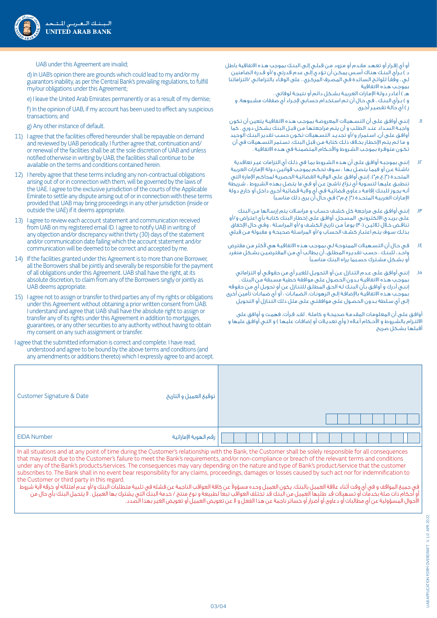

UAB under this Agreement are invalid;

 d) In UAB's opinion there are grounds which could lead to my and/or my guarantors inability, as per the Central Bank's prevailing regulations, to fulfill my/our obligations under this Agreement;

e) I leave the United Arab Emirates permanently or as a result of my demise;

 f) In the opinion of UAB, if my account has been used to effect any suspicious transactions; and

g) Any other instance of default.

- 11) I agree that the facilities offered hereunder shall be repayable on demand and reviewed by UAB periodically. I further agree that, continuation and/ or renewal of the facilities shall be at the sole discretion of UAB and unless notified otherwise in writing by UAB, the facilities shall continue to be available on the terms and conditions contained herein.
- 12) I hereby agree that these terms including any non-contractual obligations arising out of or in connection with them, will be governed by the laws of the UAE. I agree to the exclusive jurisdiction of the courts of the Applicable Emirate to settle any dispute arising out of or in connection with these terms provided that UAB may bring proceedings in any other jurisdiction (inside or outside the UAE) if it deems appropriate.
- 13) I agree to review each account statement and communication received from UAB on my registered email ID. I agree to notify UAB in writing of any objection and/or discrepancy within thirty (30) days of the statement and/or communication date failing which the account statement and/or communication will be deemed to be correct and accepted by me.
- 14) If the facilities granted under this Agreement is to more than one Borrower, all the Borrowers shall be jointly and severally be responsible for the payment of all obligations under this Agreement. UAB shall have the right, at its absolute discretion, to claim from any of the Borrowers singly or jointly as UAB deems appropriate.
- 15) I agree not to assign or transfer to third parties any of my rights or obligations under this Agreement without obtaining a prior written consent from UAB. I understand and agree that UAB shall have the absolute right to assign or transfer any of its rights under this Agreement in addition to mortgages, guarantees, or any other securities to any authority without having to obtain my consent on any such assignment or transfer.
- I agree that the submitted information is correct and complete. I have read, understood and agree to be bound by the above terms and conditions (and any amendments or additions thereto) which I expressly agree to and accept.

أو أي إقـرار أو تعهـد مقـدم أو مـزود مـن قبلـي إلـى البنـك بموجب هـذه االتفاقية باطل د ) بـرأي البنـك هنـاك أسـس يمكـن أن تـؤدي إلـى عدم قدرتى و/أو قـدرة الضامنين لـي ، وفقـً للوائـح السـائدة فـي المصـرف المركـزي ، على الوفـاء بالتزاماتـي /التزاماتنا بموجـب هـذه االتفاقية

هــ ( أغـادر دولـة اإلمـارات العربيـة بشـكل دائم أو نتيجـة لوفاتي . و ) بـرأي البنـك ، فـي حـال أن تـم اسـتخدام حسـابي لإجـراء أي صفقات مشـبوهة، و ز ( أي حالـة تقصيـر أخـرى

- 11.إننـي أوافـق علـى أن التسـهيالت المعروضـة بموجـب هـذه االتفاقيـة يتعين أن تكون واجبـة السـداد عنـد الطلـب و أن يتـم مراجعتهـا مـن قبـل البنك بشـكل دوري . كما أوافـق علـى أن، اسـتمرار و/أو تجديـد التسـهيالت تكـون حسـب تقدير البنـك الوحيد و مـا لـم يتـم اإلخطـار بخـاف ذلـك كتابة مـن قبل البنك، تسـتمر التسـهيالت في أن تكـون متوفـرة بموجـب الشـروط واألحـكام المتضمنـة في هـذه االتفاقية .
- 12.إننـي بموجبـه أوافـق علـى أن هـذه الشـروط بمـا في ذلـك أي التزامات غيـر تعاقدية ناشـئة عـن أو فيمـا يتصـل بهـا ، سـوف تحكـم يموجـب قوانين دولة اإلمـارات العربية المتحـدة ("إ.ع.م"). إننـى أوافـق علـى الولايـة القضائيـة الحصريـة لمحاكـم الإمارة التي تنطبـق عليهـا لتسـوية أي نـزاع ناشـئ عـن أو فـي ما يتصل بهذه الشـروط ، شـريطة أنـه يجـوز للبنـك إقامـة دعـاوى قضائيـة فـي أي واليـة قضائية أخـرى داخل أو خارج دولة الإمارات العربيـة المتحـدة ("إ.ع.م") فـي حال أن يرى ذلك مناسـباً
- 13.إننـي أوافـق علـى مراجعة كل كشـف حسـاب و مراسـات يتم إرسـالها مـن البنك علـى بريـدي االلكترونـي المسـجل. أوافـق علـى إخطـار البنك كتابـة بأي اعتراض و/أو تناقـض خـال ثلاثيـن (٣٠) يومـًا مـن تاريخ الكشـف و/أو المراسـلة ، وفـي حال الإخفاق . بذلـك سـوف يتـم اعتبـار كشـف الحسـاب و/أو المراسـلة صحيحـة و مقبولة مـن قبلي
- 14.فـي حـال أن التسـهيالت الممنوحـة لـي بموجـب هـذه االتفاقيـة هي ألكثر مـن مقترض واحـد، للبنـك ، حسـب تقديـره المطلـق، أن يطالـب أي مـن المقترضيـن بشـكل منفرد أو بشـكل مشـترك حسـبما يراه البنك مناسـبًا
- 15.إننـي أوافـق علـى عـدم التنـازل عـن أو التحويـل للغيـر أي من حقوقـي أو التزاماتي بموجـب هـذه االتفاقيـة بـدون الحصـول علـى موافقة خطية مسـبقة مـن البنك . إننـي أدرك و أوافـق بـأن البنـك لـه الحـق المطلـق للتنـازل عن أو تحويل أي مـن حقوقه بموجـب هـذه االتفاقيـة باإلضافـة إلـى الرهونـات، الضمانـات ، أو أي ضمانـات تأمين أخرى إلـى أي سـلطة بـدون الحصـول علـى موافقتـي علـى مثل ذلك التنـازل أو التحويل

أوافـق علـى أن المعلومـات المقدمـة صحيحـة و كاملـة . لقـد قـرأت، فهمـت و أوافق على الالتـزام بالشـروط و الأحـكام أعـلاه ( وأي تعديـلات أو إضافـات عليها ) و التـي أوافـق عليها و أقبلهـا بشـكل صريح

| Customer Signature & Date | توقيع العميل و التاريخ |  |
|---------------------------|------------------------|--|
| <b>EIDA Number</b>        | رقم الهوية الإماراتية  |  |

In all situations and at any point of time during the Customer's relationship with the Bank, the Customer shall be solely responsible for all consequences that may result due to the Customer's failure to meet the Bank's requirements, and/or non-compliance or breach of the relevant terms and conditions under any of the Bank's products/services. The consequences may vary depending on the nature and type of Bank's product/service that the customer subscribes to. The Bank shall in no event bear responsibility for any claims, proceedings, damages or losses caused by such act nor for indemnification to the Customer or third party in this regard.

غى جميع المواقف و في أي وقت أثناء علاقة العميل بالبنك، يكون العميل وحده مسؤولا عن كافة العواقب الناجمة عن فشله في تلبية متطلبات البنك و/أو عدم امتثاله أو خرقه لأية شروط أو أحكام ذات صلة بخدمات أو تسهيالت قد طلبها العميل من البنك قد تختلف العواقب تبعًا لطبيعة و نوع منتج / خدمة البنك التي يشترك بها العميل . ال يتحمل البنك بأي حال من الأحوال المسؤولية عن أي مطالبات أو دعاوى أو أضرار أو خسائر ناجمة عن هذا الفعل و لا عن تعويض العميل أو تعويض الغير بهذا الصدد.